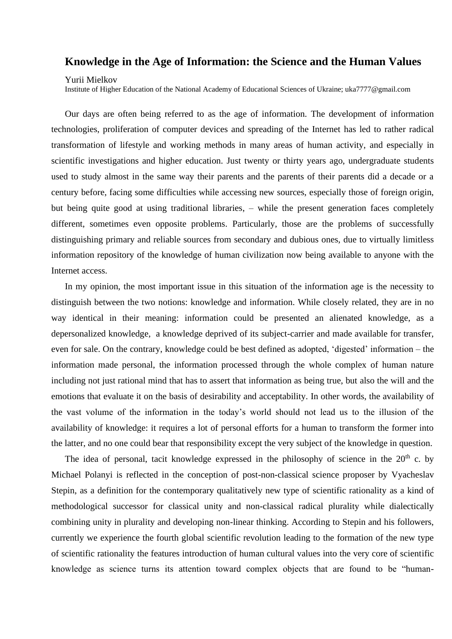## **Knowledge in the Age of Information: the Science and the Human Values**

Yurii Mielkov

Institute of Higher Education of the National Academy of Educational Sciences of Ukraine; uka7777@gmail.com

Our days are often being referred to as the age of information. The development of information technologies, proliferation of computer devices and spreading of the Internet has led to rather radical transformation of lifestyle and working methods in many areas of human activity, and especially in scientific investigations and higher education. Just twenty or thirty years ago, undergraduate students used to study almost in the same way their parents and the parents of their parents did a decade or a century before, facing some difficulties while accessing new sources, especially those of foreign origin, but being quite good at using traditional libraries, – while the present generation faces completely different, sometimes even opposite problems. Particularly, those are the problems of successfully distinguishing primary and reliable sources from secondary and dubious ones, due to virtually limitless information repository of the knowledge of human civilization now being available to anyone with the Internet access.

In my opinion, the most important issue in this situation of the information age is the necessity to distinguish between the two notions: knowledge and information. While closely related, they are in no way identical in their meaning: information could be presented an alienated knowledge, as a depersonalized knowledge, a knowledge deprived of its subject-carrier and made available for transfer, even for sale. On the contrary, knowledge could be best defined as adopted, 'digested' information – the information made personal, the information processed through the whole complex of human nature including not just rational mind that has to assert that information as being true, but also the will and the emotions that evaluate it on the basis of desirability and acceptability. In other words, the availability of the vast volume of the information in the today's world should not lead us to the illusion of the availability of knowledge: it requires a lot of personal efforts for a human to transform the former into the latter, and no one could bear that responsibility except the very subject of the knowledge in question.

The idea of personal, tacit knowledge expressed in the philosophy of science in the  $20<sup>th</sup>$  c. by Michael Polanyi is reflected in the conception of post-non-classical science proposer by Vyacheslav Stepin, as a definition for the contemporary qualitatively new type of scientific rationality as a kind of methodological successor for classical unity and non-classical radical plurality while dialectically combining unity in plurality and developing non-linear thinking. According to Stepin and his followers, currently we experience the fourth global scientific revolution leading to the formation of the new type of scientific rationality the features introduction of human cultural values into the very core of scientific knowledge as science turns its attention toward complex objects that are found to be "human